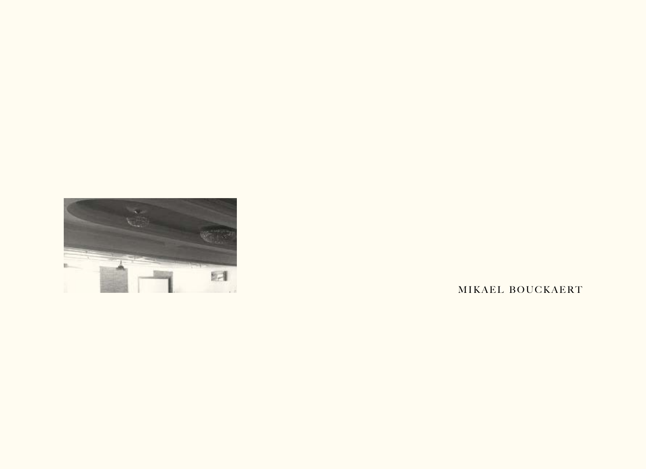

M I KAEL BOUCKAERT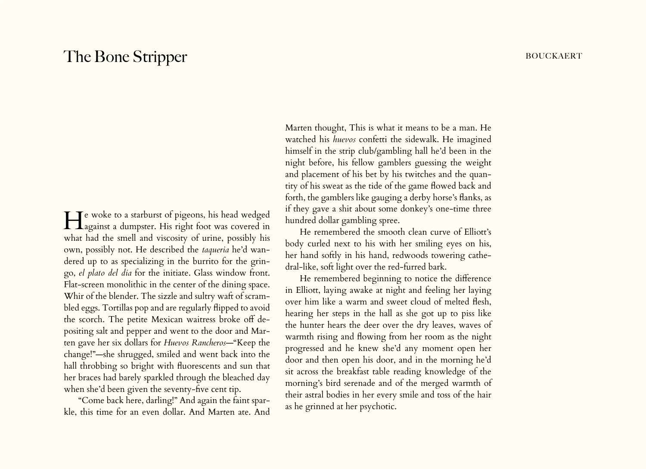# The Bone Stripper **bouckaert bouckaert bouckaert**

**He** woke to a starburst of pigeons, his head wedged **T** Lagainst a dumpster. His right foot was covered in what had the smell and viscosity of urine, possibly his own, possibly not. He described the *taqueria* he'd wandered up to as specializing in the burrito for the gringo, *el plato del dia* for the initiate. Glass window front. Flat-screen monolithic in the center of the dining space. Whir of the blender. The sizzle and sultry waft of scrambled eggs. Tortillas pop and are regularly flipped to avoid the scorch. The petite Mexican waitress broke off depositing salt and pepper and went to the door and Marten gave her six dollars for *Huevos Rancheros*—"Keep the change!"—she shrugged, smiled and went back into the hall throbbing so bright with fluorescents and sun that her braces had barely sparkled through the bleached day when she'd been given the seventy-five cent tip.

"Come back here, darling!" And again the faint sparkle, this time for an even dollar. And Marten ate. And

Marten thought, This is what it means to be a man. He watched his *huevos* confetti the sidewalk. He imagined himself in the strip club/gambling hall he'd been in the night before, his fellow gamblers guessing the weight and placement of his bet by his twitches and the quantity of his sweat as the tide of the game flowed back and forth, the gamblers like gauging a derby horse's flanks, as if they gave a shit about some donkey's one-time three hundred dollar gambling spree.

He remembered the smooth clean curve of Elliott's body curled next to his with her smiling eyes on his, her hand softly in his hand, redwoods towering cathedral-like, soft light over the red-furred bark.

He remembered beginning to notice the difference in Elliott, laying awake at night and feeling her laying over him like a warm and sweet cloud of melted flesh, hearing her steps in the hall as she got up to piss like the hunter hears the deer over the dry leaves, waves of warmth rising and flowing from her room as the night progressed and he knew she'd any moment open her door and then open his door, and in the morning he'd sit across the breakfast table reading knowledge of the morning's bird serenade and of the merged warmth of their astral bodies in her every smile and toss of the hair as he grinned at her psychotic.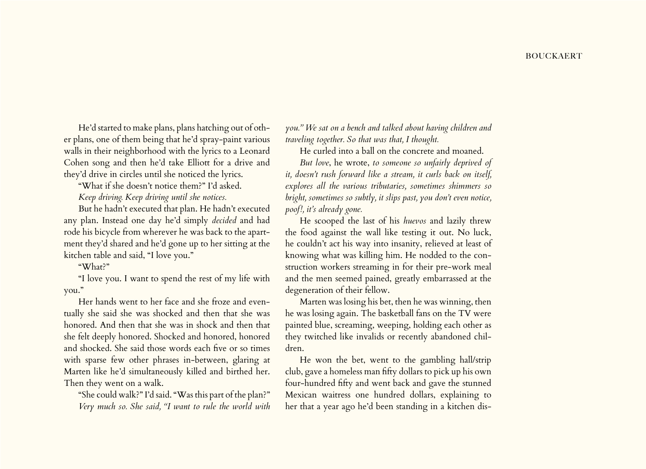He'd started to make plans, plans hatching out of other plans, one of them being that he'd spray-paint various walls in their neighborhood with the lyrics to a Leonard Cohen song and then he'd take Elliott for a drive and they'd drive in circles until she noticed the lyrics.

"What if she doesn't notice them?" I'd asked.

*Keep driving. Keep driving until she notices.*

But he hadn't executed that plan. He hadn't executed any plan. Instead one day he'd simply *decided* and had rode his bicycle from wherever he was back to the apartment they'd shared and he'd gone up to her sitting at the kitchen table and said, "I love you."

"What?"

"I love you. I want to spend the rest of my life with you."

Her hands went to her face and she froze and eventually she said she was shocked and then that she was honored. And then that she was in shock and then that she felt deeply honored. Shocked and honored, honored and shocked. She said those words each five or so times with sparse few other phrases in-between, glaring at Marten like he'd simultaneously killed and birthed her. Then they went on a walk.

"She could walk?" I'd said. "Was this part of the plan?" *Very much so. She said, "I want to rule the world with*  *you." We sat on a bench and talked about having children and traveling together. So that was that, I thought.*

He curled into a ball on the concrete and moaned.

*But love*, he wrote, *to someone so unfairly deprived of it, doesn't rush forward like a stream, it curls back on itself, explores all the various tributaries, sometimes shimmers so bright, sometimes so subtly, it slips past, you don't even notice, poof!, it's already gone.*

He scooped the last of his *huevos* and lazily threw the food against the wall like testing it out. No luck, he couldn't act his way into insanity, relieved at least of knowing what was killing him. He nodded to the construction workers streaming in for their pre-work meal and the men seemed pained, greatly embarrassed at the degeneration of their fellow.

Marten was losing his bet, then he was winning, then he was losing again. The basketball fans on the TV were painted blue, screaming, weeping, holding each other as they twitched like invalids or recently abandoned children.

He won the bet, went to the gambling hall/strip club, gave a homeless man fifty dollars to pick up his own four-hundred fifty and went back and gave the stunned Mexican waitress one hundred dollars, explaining to her that a year ago he'd been standing in a kitchen dis-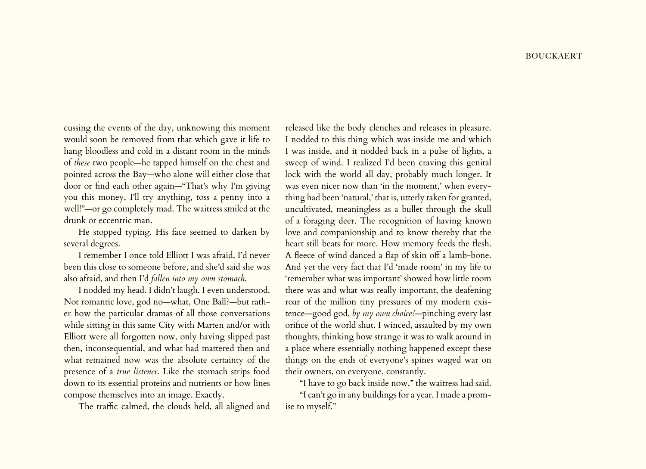cussing the events of the day, unknowing this moment would soon be removed from that which gave it life to hang bloodless and cold in a distant room in the minds of *these* two people—he tapped himself on the chest and pointed across the Bay—who alone will either close that door or find each other again—"That's why I'm giving you this money, I'll try anything, toss a penny into a well!"—or go completely mad. The waitress smiled at the drunk or eccentric man.

He stopped typing. His face seemed to darken by several degrees.

I remember I once told Elliott I was afraid, I'd never been this close to someone before, and she'd said she was also afraid, and then I'd *fallen into my own stomach*.

I nodded my head. I didn't laugh. I even understood. Not romantic love, god no—what, One Ball?—but rather how the particular dramas of all those conversations while sitting in this same City with Marten and/or with Elliott were all forgotten now, only having slipped past then, inconsequential, and what had mattered then and what remained now was the absolute certainty of the presence of a *true listener*. Like the stomach strips food down to its essential proteins and nutrients or how lines compose themselves into an image. Exactly.

The traffic calmed, the clouds held, all aligned and

released like the body clenches and releases in pleasure. I nodded to this thing which was inside me and which I was inside, and it nodded back in a pulse of lights, a sweep of wind. I realized I'd been craving this genital lock with the world all day, probably much longer. It was even nicer now than 'in the moment,' when everything had been 'natural,' that is, utterly taken for granted, uncultivated, meaningless as a bullet through the skull of a foraging deer. The recognition of having known love and companionship and to know thereby that the heart still beats for more. How memory feeds the flesh. A fleece of wind danced a flap of skin off a lamb-bone. And yet the very fact that I'd 'made room' in my life to 'remember what was important' showed how little room there was and what was really important, the deafening roar of the million tiny pressures of my modern existence—good god, *by my own choice!*—pinching every last orifice of the world shut. I winced, assaulted by my own thoughts, thinking how strange it was to walk around in a place where essentially nothing happened except these things on the ends of everyone's spines waged war on their owners, on everyone, constantly.

"I have to go back inside now," the waitress had said. "I can't go in any buildings for a year. I made a promise to myself."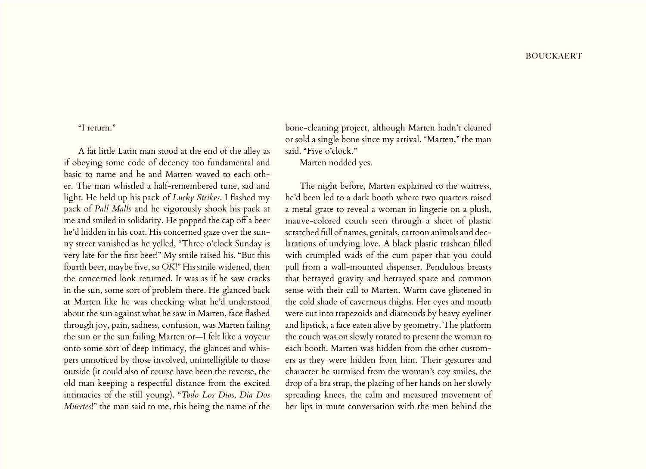## "I return."

A fat little Latin man stood at the end of the alley as if obeying some code of decency too fundamental and basic to name and he and Marten waved to each other. The man whistled a half-remembered tune, sad and light. He held up his pack of *Lucky Strikes*. I flashed my pack of *Pall Malls* and he vigorously shook his pack at me and smiled in solidarity. He popped the cap off a beer he'd hidden in his coat. His concerned gaze over the sunny street vanished as he yelled, "Three o'clock Sunday is very late for the first beer!" My smile raised his. "But this fourth beer, maybe five, so *OK*!" His smile widened, then the concerned look returned. It was as if he saw cracks in the sun, some sort of problem there. He glanced back at Marten like he was checking what he'd understood about the sun against what he saw in Marten, face flashed through joy, pain, sadness, confusion, was Marten failing the sun or the sun failing Marten or—I felt like a voyeur onto some sort of deep intimacy, the glances and whispers unnoticed by those involved, unintelligible to those outside (it could also of course have been the reverse, the old man keeping a respectful distance from the excited intimacies of the still young). "*Todo Los Dios, Dia Dos Muertes*!" the man said to me, this being the name of the

bone-cleaning project, although Marten hadn't cleaned or sold a single bone since my arrival. "Marten," the man said. "Five o'clock."

Marten nodded yes.

The night before, Marten explained to the waitress, he'd been led to a dark booth where two quarters raised a metal grate to reveal a woman in lingerie on a plush, mauve-colored couch seen through a sheet of plastic scratched full of names, genitals, cartoon animals and declarations of undying love. A black plastic trashcan filled with crumpled wads of the cum paper that you could pull from a wall-mounted dispenser. Pendulous breasts that betrayed gravity and betrayed space and common sense with their call to Marten. Warm cave glistened in the cold shade of cavernous thighs. Her eyes and mouth were cut into trapezoids and diamonds by heavy eyeliner and lipstick, a face eaten alive by geometry. The platform the couch was on slowly rotated to present the woman to each booth. Marten was hidden from the other customers as they were hidden from him. Their gestures and character he surmised from the woman's coy smiles, the drop of a bra strap, the placing of her hands on her slowly spreading knees, the calm and measured movement of her lips in mute conversation with the men behind the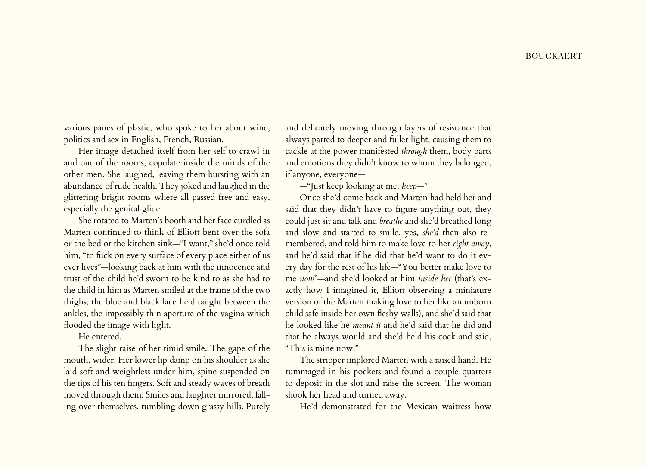various panes of plastic, who spoke to her about wine, politics and sex in English, French, Russian.

Her image detached itself from her self to crawl in and out of the rooms, copulate inside the minds of the other men. She laughed, leaving them bursting with an abundance of rude health. They joked and laughed in the glittering bright rooms where all passed free and easy, especially the genital glide.

She rotated to Marten's booth and her face curdled as Marten continued to think of Elliott bent over the sofa or the bed or the kitchen sink—"I want," she'd once told him, "to fuck on every surface of every place either of us ever lives"—looking back at him with the innocence and trust of the child he'd sworn to be kind to as she had to the child in him as Marten smiled at the frame of the two thighs, the blue and black lace held taught between the ankles, the impossibly thin aperture of the vagina which flooded the image with light.

He entered.

The slight raise of her timid smile. The gape of the mouth, wider. Her lower lip damp on his shoulder as she laid soft and weightless under him, spine suspended on the tips of his ten fingers. Soft and steady waves of breath moved through them. Smiles and laughter mirrored, falling over themselves, tumbling down grassy hills. Purely and delicately moving through layers of resistance that always parted to deeper and fuller light, causing them to cackle at the power manifested *through* them, body parts and emotions they didn't know to whom they belonged, if anyone, everyone—

—"Just keep looking at me, *keep*—"

Once she'd come back and Marten had held her and said that they didn't have to figure anything out, they could just sit and talk and *breathe* and she'd breathed long and slow and started to smile, yes, *she'd* then also remembered, and told him to make love to her *right away*, and he'd said that if he did that he'd want to do it every day for the rest of his life—"You better make love to me *now*"—and she'd looked at him *inside her* (that's exactly how I imagined it, Elliott observing a miniature version of the Marten making love to her like an unborn child safe inside her own fleshy walls), and she'd said that he looked like he *meant it* and he'd said that he did and that he always would and she'd held his cock and said, "This is mine now."

The stripper implored Marten with a raised hand. He rummaged in his pockets and found a couple quarters to deposit in the slot and raise the screen. The woman shook her head and turned away.

He'd demonstrated for the Mexican waitress how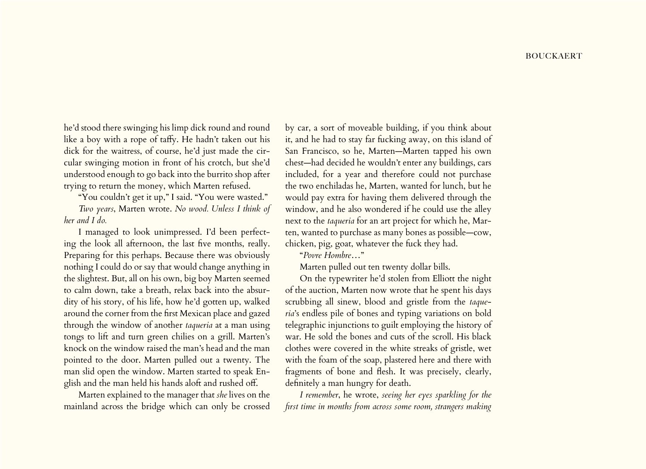he'd stood there swinging his limp dick round and round like a boy with a rope of taffy. He hadn't taken out his dick for the waitress, of course, he'd just made the circular swinging motion in front of his crotch, but she'd understood enough to go back into the burrito shop after trying to return the money, which Marten refused.

"You couldn't get it up," I said. "You were wasted."

*Two years*, Marten wrote. *No wood. Unless I think of her and I do.*

I managed to look unimpressed. I'd been perfecting the look all afternoon, the last five months, really. Preparing for this perhaps. Because there was obviously nothing I could do or say that would change anything in the slightest. But, all on his own, big boy Marten seemed to calm down, take a breath, relax back into the absurdity of his story, of his life, how he'd gotten up, walked around the corner from the first Mexican place and gazed through the window of another *taqueria* at a man using tongs to lift and turn green chilies on a grill. Marten's knock on the window raised the man's head and the man pointed to the door. Marten pulled out a twenty. The man slid open the window. Marten started to speak English and the man held his hands aloft and rushed off.

Marten explained to the manager that *she* lives on the mainland across the bridge which can only be crossed

by car, a sort of moveable building, if you think about it, and he had to stay far fucking away, on this island of San Francisco, so he, Marten—Marten tapped his own chest—had decided he wouldn't enter any buildings, cars included, for a year and therefore could not purchase the two enchiladas he, Marten, wanted for lunch, but he would pay extra for having them delivered through the window, and he also wondered if he could use the alley next to the *taqueria* for an art project for which he, Marten, wanted to purchase as many bones as possible—cow, chicken, pig, goat, whatever the fuck they had.

"*Povre Hombre*…"

Marten pulled out ten twenty dollar bills.

On the typewriter he'd stolen from Elliott the night of the auction, Marten now wrote that he spent his days scrubbing all sinew, blood and gristle from the *taqueria*'s endless pile of bones and typing variations on bold telegraphic injunctions to guilt employing the history of war. He sold the bones and cuts of the scroll. His black clothes were covered in the white streaks of gristle, wet with the foam of the soap, plastered here and there with fragments of bone and flesh. It was precisely, clearly, definitely a man hungry for death.

*I remember*, he wrote, *seeing her eyes sparkling for the first time in months from across some room, strangers making*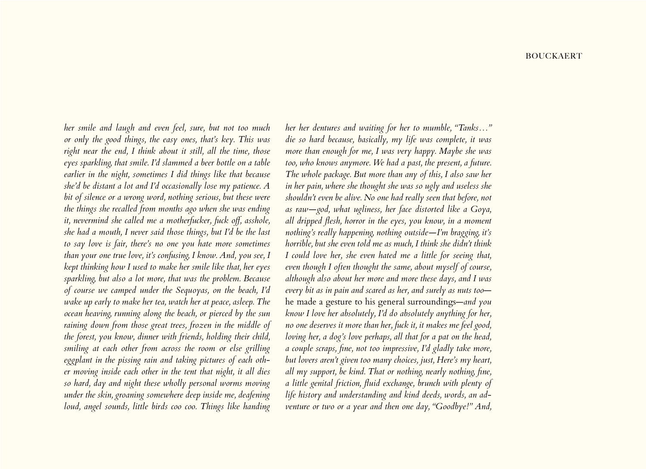*her smile and laugh and even feel, sure, but not too much or only the good things, the easy ones, that's key. This was right near the end, I think about it still, all the time, those eyes sparkling, that smile. I'd slammed a beer bottle on a table earlier in the night, sometimes I did things like that because she'd be distant a lot and I'd occasionally lose my patience. A bit of silence or a wrong word, nothing serious, but these were the things she recalled from months ago when she was ending it, nevermind she called me a motherfucker, fuck off, asshole, she had a mouth, I never said those things, but I'd be the last to say love is fair, there's no one you hate more sometimes than your one true love, it's confusing, I know. And, you see, I kept thinking how I used to make her smile like that, her eyes sparkling, but also a lot more, that was the problem. Because of course we camped under the Sequoyas, on the beach, I'd wake up early to make her tea, watch her at peace, asleep. The ocean heaving, running along the beach, or pierced by the sun raining down from those great trees, frozen in the middle of the forest, you know, dinner with friends, holding their child, smiling at each other from across the room or else grilling eggplant in the pissing rain and taking pictures of each other moving inside each other in the tent that night, it all dies so hard, day and night these wholly personal worms moving under the skin, groaning somewhere deep inside me, deafening loud, angel sounds, little birds coo coo. Things like handing* 

*her her dentures and waiting for her to mumble, "Tanks…" die so hard because, basically, my life was complete, it was more than enough for me, I was very happy. Maybe she was too, who knows anymore. We had a past, the present, a future. The whole package. But more than any of this, I also saw her in her pain, where she thought she was so ugly and useless she shouldn't even be alive. No one had really seen that before, not as raw—god, what ugliness, her face distorted like a Goya, all dripped flesh, horror in the eyes, you know, in a moment nothing's really happening, nothing outside—I'm bragging, it's horrible, but she even told me as much, I think she didn't think I could love her, she even hated me a little for seeing that, even though I often thought the same, about myself of course, although also about her more and more these days, and I was every bit as in pain and scared as her, and surely as nuts too* he made a gesture to his general surroundings—*and you know I love her absolutely, I'd do absolutely anything for her, no one deserves it more than her, fuck it, it makes me feel good, loving her, a dog's love perhaps, all that for a pat on the head, a couple scraps, fine, not too impressive, I'd gladly take more, but lovers aren't given too many choices, just, Here's my heart, all my support, be kind. That or nothing, nearly nothing, fine, a little genital friction, fluid exchange, brunch with plenty of life history and understanding and kind deeds, words, an adventure or two or a year and then one day, "Goodbye!" And,*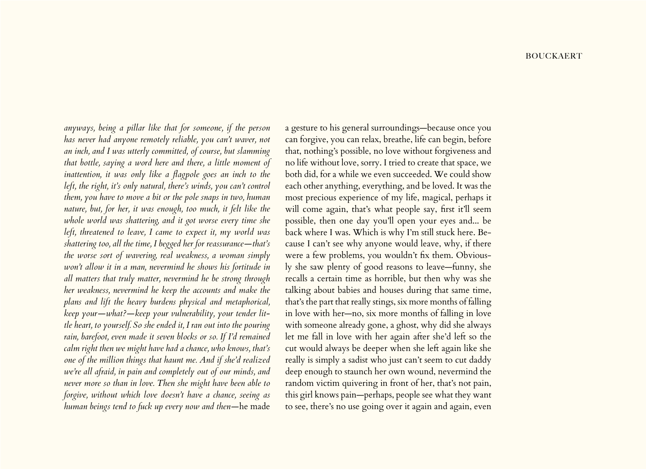*anyways, being a pillar like that for someone, if the person has never had anyone remotely reliable, you can't waver, not an inch, and I was utterly committed, of course, but slamming that bottle, saying a word here and there, a little moment of*  inattention, it was only like a flagpole goes an inch to the *left, the right, it's only natural, there's winds, you can't control them, you have to move a bit or the pole snaps in two, human nature, but, for her, it was enough, too much, it felt like the whole world was shattering, and it got worse every time she left, threatened to leave, I came to expect it, my world was shattering too, all the time, I begged her for reassurance—that's the worse sort of wavering, real weakness, a woman simply won't allow it in a man, nevermind he shows his fortitude in all matters that truly matter, nevermind he be strong through her weakness, nevermind he keep the accounts and make the plans and lift the heavy burdens physical and metaphorical, keep your—what?—keep your vulnerability, your tender little heart, to yourself. So she ended it, I ran out into the pouring rain, barefoot, even made it seven blocks or so. If I'd remained calm right then we might have had a chance, who knows, that's one of the million things that haunt me. And if she'd realized we're all afraid, in pain and completely out of our minds, and never more so than in love. Then she might have been able to forgive, without which love doesn't have a chance, seeing as human beings tend to fuck up every now and then—*he made

a gesture to his general surroundings—because once you can forgive, you can relax, breathe, life can begin, before that, nothing's possible, no love without forgiveness and no life without love, sorry. I tried to create that space, we both did, for a while we even succeeded. We could show each other anything, everything, and be loved. It was the most precious experience of my life, magical, perhaps it will come again, that's what people say, first it'll seem possible, then one day you'll open your eyes and... be back where I was. Which is why I'm still stuck here. Because I can't see why anyone would leave, why, if there were a few problems, you wouldn't fix them. Obviously she saw plenty of good reasons to leave—funny, she recalls a certain time as horrible, but then why was she talking about babies and houses during that same time, that's the part that really stings, six more months of falling in love with her—no, six more months of falling in love with someone already gone, a ghost, why did she always let me fall in love with her again after she'd left so the cut would always be deeper when she left again like she really is simply a sadist who just can't seem to cut daddy deep enough to staunch her own wound, nevermind the random victim quivering in front of her, that's not pain, this girl knows pain—perhaps, people see what they want to see, there's no use going over it again and again, even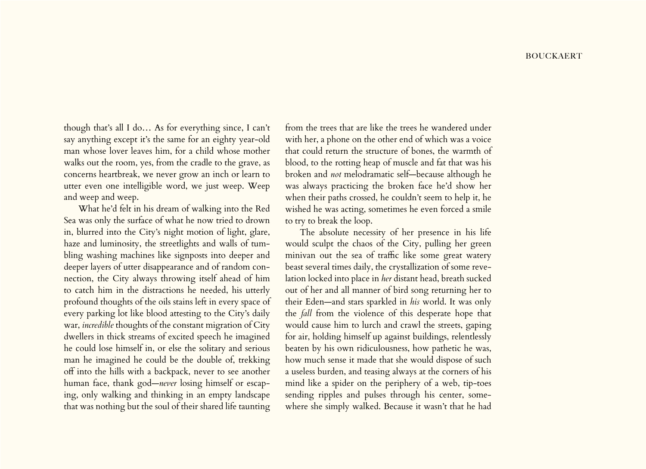though that's all I do… As for everything since, I can't say anything except it's the same for an eighty year-old man whose lover leaves him, for a child whose mother walks out the room, yes, from the cradle to the grave, as concerns heartbreak, we never grow an inch or learn to utter even one intelligible word, we just weep. Weep and weep and weep.

What he'd felt in his dream of walking into the Red Sea was only the surface of what he now tried to drown in, blurred into the City's night motion of light, glare, haze and luminosity, the streetlights and walls of tumbling washing machines like signposts into deeper and deeper layers of utter disappearance and of random connection, the City always throwing itself ahead of him to catch him in the distractions he needed, his utterly profound thoughts of the oils stains left in every space of every parking lot like blood attesting to the City's daily war, *incredible* thoughts of the constant migration of City dwellers in thick streams of excited speech he imagined he could lose himself in, or else the solitary and serious man he imagined he could be the double of, trekking off into the hills with a backpack, never to see another human face, thank god—*never* losing himself or escaping, only walking and thinking in an empty landscape that was nothing but the soul of their shared life taunting

from the trees that are like the trees he wandered under with her, a phone on the other end of which was a voice that could return the structure of bones, the warmth of blood, to the rotting heap of muscle and fat that was his broken and *not* melodramatic self—because although he was always practicing the broken face he'd show her when their paths crossed, he couldn't seem to help it, he wished he was acting, sometimes he even forced a smile to try to break the loop.

The absolute necessity of her presence in his life would sculpt the chaos of the City, pulling her green minivan out the sea of traffic like some great watery beast several times daily, the crystallization of some revelation locked into place in *her* distant head, breath sucked out of her and all manner of bird song returning her to their Eden—and stars sparkled in *his* world. It was only the *fall* from the violence of this desperate hope that would cause him to lurch and crawl the streets, gaping for air, holding himself up against buildings, relentlessly beaten by his own ridiculousness, how pathetic he was, how much sense it made that she would dispose of such a useless burden, and teasing always at the corners of his mind like a spider on the periphery of a web, tip-toes sending ripples and pulses through his center, somewhere she simply walked. Because it wasn't that he had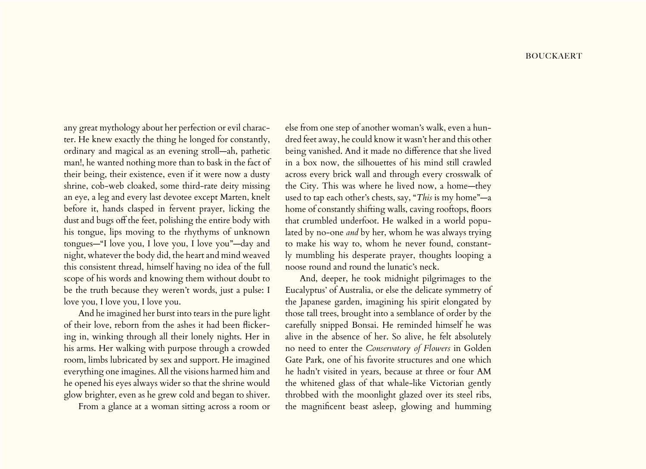any great mythology about her perfection or evil character. He knew exactly the thing he longed for constantly, ordinary and magical as an evening stroll—ah, pathetic man!, he wanted nothing more than to bask in the fact of their being, their existence, even if it were now a dusty shrine, cob-web cloaked, some third-rate deity missing an eye, a leg and every last devotee except Marten, knelt before it, hands clasped in fervent prayer, licking the dust and bugs off the feet, polishing the entire body with his tongue, lips moving to the rhythyms of unknown tongues—"I love you, I love you, I love you"—day and night, whatever the body did, the heart and mind weaved this consistent thread, himself having no idea of the full scope of his words and knowing them without doubt to be the truth because they weren't words, just a pulse: I love you, I love you, I love you.

And he imagined her burst into tears in the pure light of their love, reborn from the ashes it had been flickering in, winking through all their lonely nights. Her in his arms. Her walking with purpose through a crowded room, limbs lubricated by sex and support. He imagined everything one imagines. All the visions harmed him and he opened his eyes always wider so that the shrine would glow brighter, even as he grew cold and began to shiver.

From a glance at a woman sitting across a room or

else from one step of another woman's walk, even a hundred feet away, he could know it wasn't her and this other being vanished. And it made no difference that she lived in a box now, the silhouettes of his mind still crawled across every brick wall and through every crosswalk of the City. This was where he lived now, a home—they used to tap each other's chests, say, "*This* is my home"—a home of constantly shifting walls, caving rooftops, floors that crumbled underfoot. He walked in a world populated by no-one *and* by her, whom he was always trying to make his way to, whom he never found, constantly mumbling his desperate prayer, thoughts looping a noose round and round the lunatic's neck.

And, deeper, he took midnight pilgrimages to the Eucalyptus' of Australia, or else the delicate symmetry of the Japanese garden, imagining his spirit elongated by those tall trees, brought into a semblance of order by the carefully snipped Bonsai. He reminded himself he was alive in the absence of her. So alive, he felt absolutely no need to enter the *Conservatory of Flowers* in Golden Gate Park, one of his favorite structures and one which he hadn't visited in years, because at three or four AM the whitened glass of that whale-like Victorian gently throbbed with the moonlight glazed over its steel ribs, the magnificent beast asleep, glowing and humming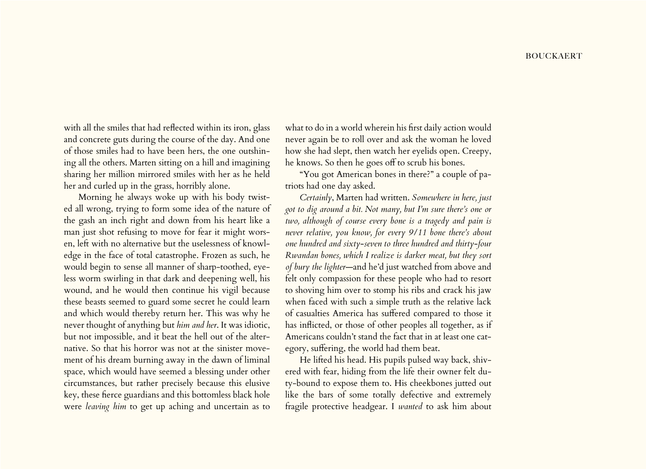with all the smiles that had reflected within its iron, glass and concrete guts during the course of the day. And one of those smiles had to have been hers, the one outshining all the others. Marten sitting on a hill and imagining sharing her million mirrored smiles with her as he held her and curled up in the grass, horribly alone.

Morning he always woke up with his body twisted all wrong, trying to form some idea of the nature of the gash an inch right and down from his heart like a man just shot refusing to move for fear it might worsen, left with no alternative but the uselessness of knowledge in the face of total catastrophe. Frozen as such, he would begin to sense all manner of sharp-toothed, eyeless worm swirling in that dark and deepening well, his wound, and he would then continue his vigil because these beasts seemed to guard some secret he could learn and which would thereby return her. This was why he never thought of anything but *him and her*. It was idiotic, but not impossible, and it beat the hell out of the alternative. So that his horror was not at the sinister movement of his dream burning away in the dawn of liminal space, which would have seemed a blessing under other circumstances, but rather precisely because this elusive key, these fierce guardians and this bottomless black hole were *leaving him* to get up aching and uncertain as to

what to do in a world wherein his first daily action would never again be to roll over and ask the woman he loved how she had slept, then watch her eyelids open. Creepy, he knows. So then he goes off to scrub his bones.

"You got American bones in there?" a couple of patriots had one day asked.

*Certainly*, Marten had written. *Somewhere in here, just got to dig around a bit. Not many, but I'm sure there's one or two, although of course every bone is a tragedy and pain is never relative, you know, for every 9/11 bone there's about one hundred and sixty-seven to three hundred and thirty-four Rwandan bones, which I realize is darker meat, but they sort of bury the lighter*—and he'd just watched from above and felt only compassion for these people who had to resort to shoving him over to stomp his ribs and crack his jaw when faced with such a simple truth as the relative lack of casualties America has suffered compared to those it has inflicted, or those of other peoples all together, as if Americans couldn't stand the fact that in at least one category, suffering, the world had them beat.

He lifted his head. His pupils pulsed way back, shivered with fear, hiding from the life their owner felt duty-bound to expose them to. His cheekbones jutted out like the bars of some totally defective and extremely fragile protective headgear. I *wanted* to ask him about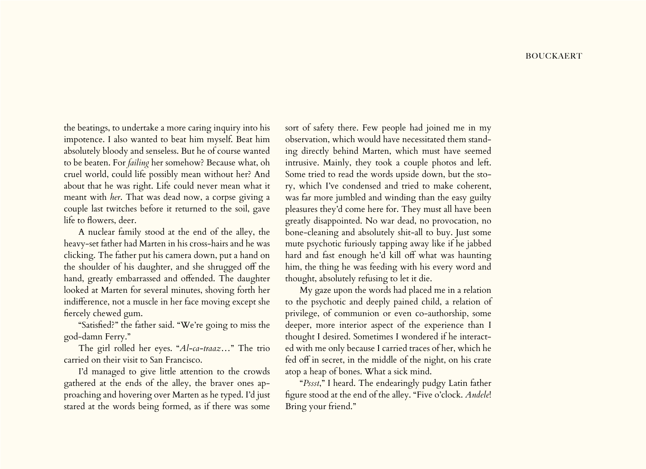the beatings, to undertake a more caring inquiry into his impotence. I also wanted to beat him myself. Beat him absolutely bloody and senseless. But he of course wanted to be beaten. For *failing* her somehow? Because what, oh cruel world, could life possibly mean without her? And about that he was right. Life could never mean what it meant with *her*. That was dead now, a corpse giving a couple last twitches before it returned to the soil, gave life to flowers, deer.

A nuclear family stood at the end of the alley, the heavy-set father had Marten in his cross-hairs and he was clicking. The father put his camera down, put a hand on the shoulder of his daughter, and she shrugged off the hand, greatly embarrassed and offended. The daughter looked at Marten for several minutes, shoving forth her indifference, not a muscle in her face moving except she fiercely chewed gum.

"Satisfied?" the father said. "We're going to miss the god-damn Ferry."

The girl rolled her eyes. "*Al-ca-traaz*…" The trio carried on their visit to San Francisco.

I'd managed to give little attention to the crowds gathered at the ends of the alley, the braver ones approaching and hovering over Marten as he typed. I'd just stared at the words being formed, as if there was some

sort of safety there. Few people had joined me in my observation, which would have necessitated them standing directly behind Marten, which must have seemed intrusive. Mainly, they took a couple photos and left. Some tried to read the words upside down, but the story, which I've condensed and tried to make coherent, was far more jumbled and winding than the easy guilty pleasures they'd come here for. They must all have been greatly disappointed. No war dead, no provocation, no bone-cleaning and absolutely shit-all to buy. Just some mute psychotic furiously tapping away like if he jabbed hard and fast enough he'd kill off what was haunting him, the thing he was feeding with his every word and thought, absolutely refusing to let it die.

My gaze upon the words had placed me in a relation to the psychotic and deeply pained child, a relation of privilege, of communion or even co-authorship, some deeper, more interior aspect of the experience than I thought I desired. Sometimes I wondered if he interacted with me only because I carried traces of her, which he fed off in secret, in the middle of the night, on his crate atop a heap of bones. What a sick mind.

"*Pssst*," I heard. The endearingly pudgy Latin father figure stood at the end of the alley. "Five o'clock. *Andele*! Bring your friend."